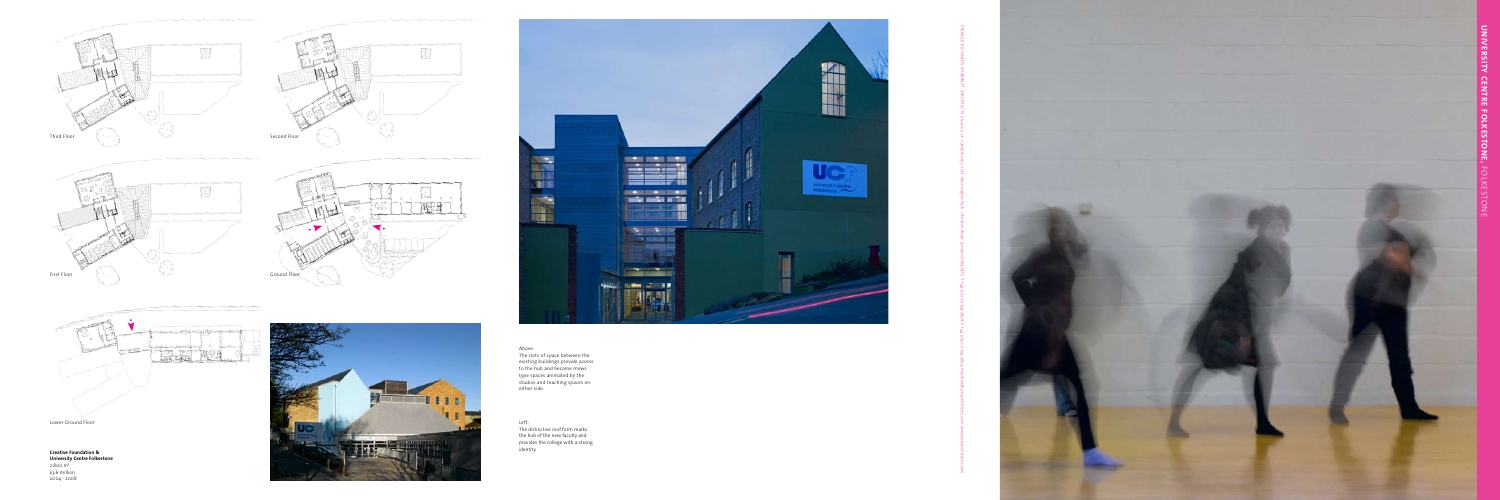

**Creative Foundation & University Centre Folkestone** 2,800 m 2 £3.6 million 2004 - 2008





Above: The slots of space between the existing buildings provide access to the hub and become mews type spaces animated by the studios and teaching spaces on either side.

Left:

The distinctive roof form marks the hub of the new faculty and provides the college with a strong identity.











Lower Ground Floor

PRINGLE RICHARDS SHARRATT ARCHITECTS Studio 2.01 Canterbury Court Kennington Park 1 Brixton Road London SW9 6DE T +44 (0)20 7793 2828 F +44 (0)20 7793 2829 mailbox@prsarchitects.com www.prsarchitects.com